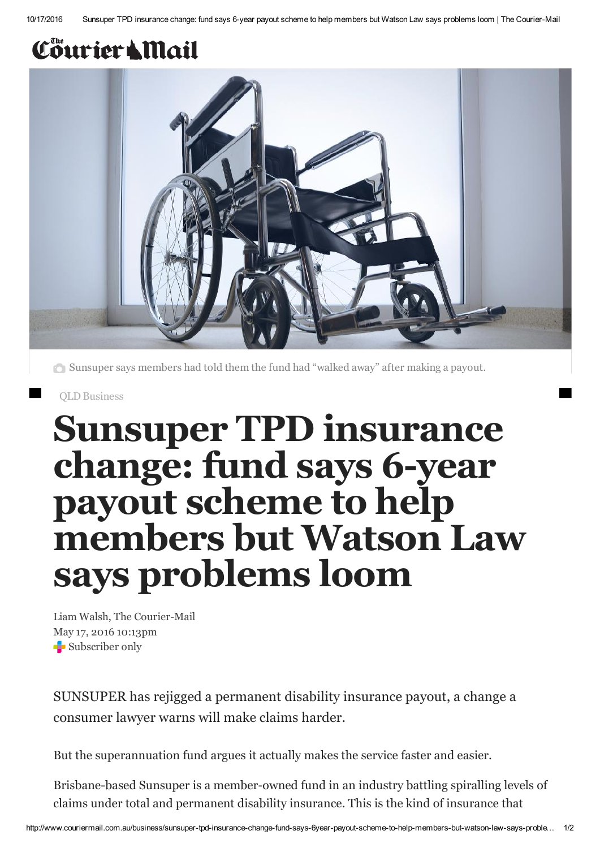## Courier & Mail



Sunsuper says members had told them the fund had "walked away" after making a payout.

QLD [Business](http://www.couriermail.com.au/business/)

# Sunsuper TPD insurance change: fund says 6-year payout scheme to help members but Watson Law says problems loom

Liam Walsh, The Courier-Mail May 17, 2016 10:13pm Subscriber only

SUNSUPER has rejigged a permanent disability insurance payout, a change a consumer lawyer warns will make claims harder.

But the superannuation fund argues it actually makes the service faster and easier.

Brisbane-based Sunsuper is a member-owned fund in an industry battling spiralling levels of claims under total and permanent disability insurance. This is the kind of insurance that